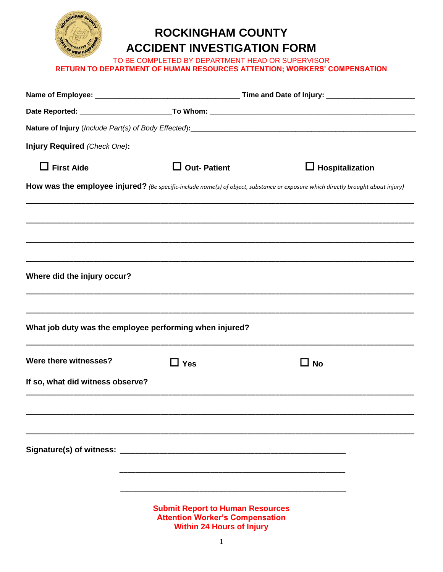

## **ROCKINGHAM COUNTY ACCIDENT INVESTIGATION FORM**

TO BE COMPLETED BY DEPARTMENT HEAD OR SUPERVISOR **RETURN TO DEPARTMENT OF HUMAN RESOURCES ATTENTION; WORKERS' COMPENSATION**

| Injury Required (Check One):     |                                                                                                                       |                                                                                                                                  |  |
|----------------------------------|-----------------------------------------------------------------------------------------------------------------------|----------------------------------------------------------------------------------------------------------------------------------|--|
| $\Box$ First Aide                | $\Box$ Out- Patient                                                                                                   | $\Box$ Hospitalization                                                                                                           |  |
|                                  |                                                                                                                       | How was the employee injured? (Be specific-include name(s) of object, substance or exposure which directly brought about injury) |  |
|                                  |                                                                                                                       |                                                                                                                                  |  |
|                                  |                                                                                                                       |                                                                                                                                  |  |
|                                  |                                                                                                                       |                                                                                                                                  |  |
| Where did the injury occur?      |                                                                                                                       |                                                                                                                                  |  |
|                                  |                                                                                                                       |                                                                                                                                  |  |
|                                  | What job duty was the employee performing when injured?                                                               |                                                                                                                                  |  |
| Were there witnesses?            | $\exists$ Yes                                                                                                         | $\square$ No                                                                                                                     |  |
| If so, what did witness observe? |                                                                                                                       |                                                                                                                                  |  |
|                                  |                                                                                                                       |                                                                                                                                  |  |
|                                  |                                                                                                                       |                                                                                                                                  |  |
|                                  |                                                                                                                       |                                                                                                                                  |  |
|                                  |                                                                                                                       |                                                                                                                                  |  |
|                                  |                                                                                                                       |                                                                                                                                  |  |
|                                  | <b>Submit Report to Human Resources</b><br><b>Attention Worker's Compensation</b><br><b>Within 24 Hours of Injury</b> |                                                                                                                                  |  |